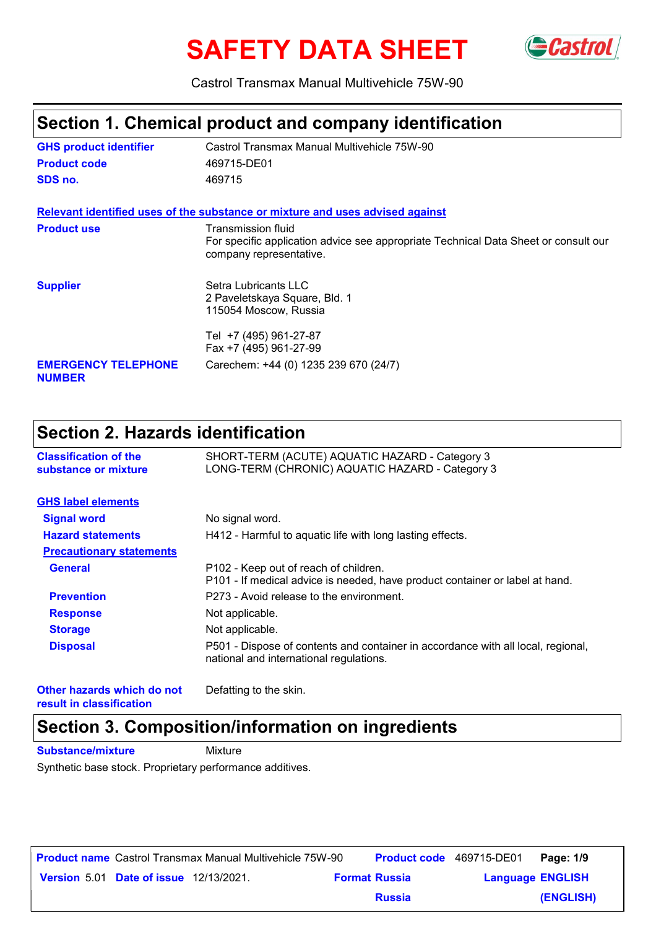# **SAFETY DATA SHEET** GCastrol



Castrol Transmax Manual Multivehicle 75W-90

## **Section 1. Chemical product and company identification**

| <b>GHS product identifier</b>               | Castrol Transmax Manual Multivehicle 75W-90                                                                                          |  |  |  |  |
|---------------------------------------------|--------------------------------------------------------------------------------------------------------------------------------------|--|--|--|--|
| <b>Product code</b>                         | 469715-DE01                                                                                                                          |  |  |  |  |
| SDS no.                                     | 469715                                                                                                                               |  |  |  |  |
|                                             | Relevant identified uses of the substance or mixture and uses advised against                                                        |  |  |  |  |
| <b>Product use</b>                          | Transmission fluid<br>For specific application advice see appropriate Technical Data Sheet or consult our<br>company representative. |  |  |  |  |
| <b>Supplier</b>                             | Setra Lubricants LLC<br>2 Paveletskaya Square, Bld. 1<br>115054 Moscow, Russia                                                       |  |  |  |  |
|                                             | Tel +7 (495) 961-27-87<br>Fax +7 (495) 961-27-99                                                                                     |  |  |  |  |
| <b>EMERGENCY TELEPHONE</b><br><b>NUMBER</b> | Carechem: +44 (0) 1235 239 670 (24/7)                                                                                                |  |  |  |  |

# **Section 2. Hazards identification**

| <b>Classification of the</b><br>substance or mixture | SHORT-TERM (ACUTE) AQUATIC HAZARD - Category 3<br>LONG-TERM (CHRONIC) AQUATIC HAZARD - Category 3                           |  |  |
|------------------------------------------------------|-----------------------------------------------------------------------------------------------------------------------------|--|--|
| <b>GHS label elements</b>                            |                                                                                                                             |  |  |
| <b>Signal word</b>                                   | No signal word.                                                                                                             |  |  |
| <b>Hazard statements</b>                             | H412 - Harmful to aquatic life with long lasting effects.                                                                   |  |  |
| <b>Precautionary statements</b>                      |                                                                                                                             |  |  |
| <b>General</b>                                       | P102 - Keep out of reach of children.<br>P101 - If medical advice is needed, have product container or label at hand.       |  |  |
| <b>Prevention</b>                                    | P273 - Avoid release to the environment.                                                                                    |  |  |
| <b>Response</b>                                      | Not applicable.                                                                                                             |  |  |
| <b>Storage</b>                                       | Not applicable.                                                                                                             |  |  |
| <b>Disposal</b>                                      | P501 - Dispose of contents and container in accordance with all local, regional,<br>national and international regulations. |  |  |
| Other hazards which do not                           | Defatting to the skin.                                                                                                      |  |  |

**result in classification**

Defatting to the skin.

# **Section 3. Composition/information on ingredients**

**Substance/mixture Mixture** 

Synthetic base stock. Proprietary performance additives.

|                                               | <b>Product name</b> Castrol Transmax Manual Multivehicle 75W-90 | <b>Product code</b> 469715-DE01 |                         | Page: 1/9 |
|-----------------------------------------------|-----------------------------------------------------------------|---------------------------------|-------------------------|-----------|
| <b>Version 5.01 Date of issue 12/13/2021.</b> |                                                                 | <b>Format Russia</b>            | <b>Language ENGLISH</b> |           |
|                                               |                                                                 | <b>Russia</b>                   |                         | (ENGLISH) |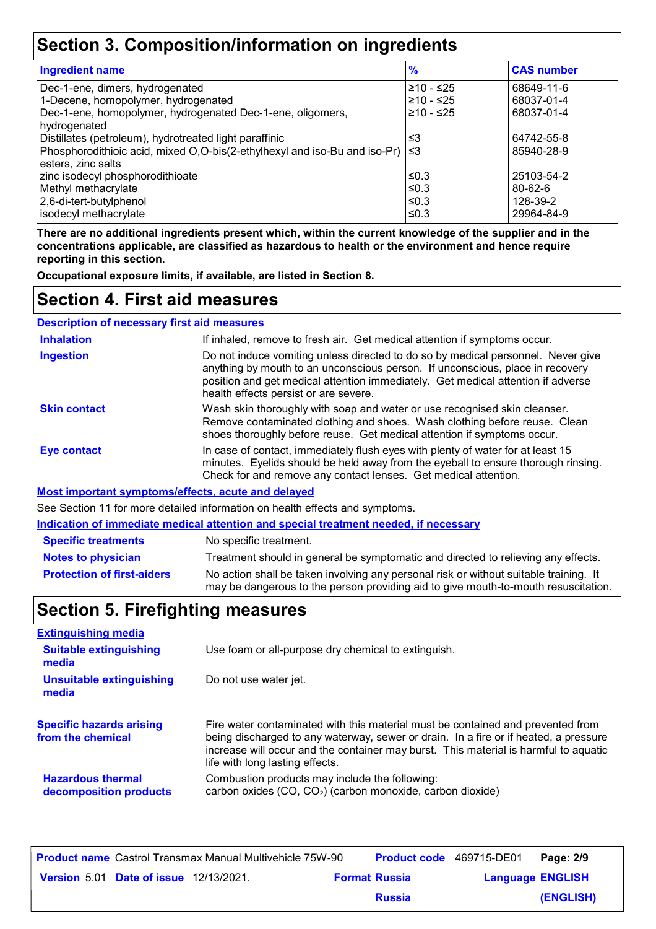# **Section 3. Composition/information on ingredients**

| <b>Ingredient name</b>                                                    | $\frac{9}{6}$ | <b>CAS number</b> |
|---------------------------------------------------------------------------|---------------|-------------------|
| Dec-1-ene, dimers, hydrogenated                                           | ≥10 - ≤25     | 68649-11-6        |
| 1-Decene, homopolymer, hydrogenated                                       | ≥10 - ≤25     | 68037-01-4        |
| Dec-1-ene, homopolymer, hydrogenated Dec-1-ene, oligomers,                | $≥10 - ≤25$   | 68037-01-4        |
| hydrogenated                                                              |               |                   |
| Distillates (petroleum), hydrotreated light paraffinic                    | ≤3            | 64742-55-8        |
| Phosphorodithioic acid, mixed O,O-bis(2-ethylhexyl and iso-Bu and iso-Pr) | ՝≤3           | 85940-28-9        |
| esters, zinc salts                                                        |               |                   |
| zinc isodecyl phosphorodithioate                                          | ≤0.3          | 25103-54-2        |
| Methyl methacrylate                                                       | ≤0.3          | $80 - 62 - 6$     |
| 2,6-di-tert-butylphenol                                                   | ≤0.3          | 128-39-2          |
| isodecyl methacrylate                                                     | ≤0.3          | 29964-84-9        |

**There are no additional ingredients present which, within the current knowledge of the supplier and in the concentrations applicable, are classified as hazardous to health or the environment and hence require reporting in this section.**

**Occupational exposure limits, if available, are listed in Section 8.**

### **Section 4. First aid measures**

| <b>Description of necessary first aid measures</b> |                                                                                                                                                                                                                                                                                                |
|----------------------------------------------------|------------------------------------------------------------------------------------------------------------------------------------------------------------------------------------------------------------------------------------------------------------------------------------------------|
| <b>Inhalation</b>                                  | If inhaled, remove to fresh air. Get medical attention if symptoms occur.                                                                                                                                                                                                                      |
| <b>Ingestion</b>                                   | Do not induce vomiting unless directed to do so by medical personnel. Never give<br>anything by mouth to an unconscious person. If unconscious, place in recovery<br>position and get medical attention immediately. Get medical attention if adverse<br>health effects persist or are severe. |
| <b>Skin contact</b>                                | Wash skin thoroughly with soap and water or use recognised skin cleanser.<br>Remove contaminated clothing and shoes. Wash clothing before reuse. Clean<br>shoes thoroughly before reuse. Get medical attention if symptoms occur.                                                              |
| <b>Eye contact</b>                                 | In case of contact, immediately flush eyes with plenty of water for at least 15<br>minutes. Eyelids should be held away from the eyeball to ensure thorough rinsing.<br>Check for and remove any contact lenses. Get medical attention.                                                        |
|                                                    | . <i>.</i>                                                                                                                                                                                                                                                                                     |

**Most important symptoms/effects, acute and delayed**

See Section 11 for more detailed information on health effects and symptoms.

**Indication of immediate medical attention and special treatment needed, if necessary**

| <b>Specific treatments</b>        | No specific treatment.                                                                                                                                                      |
|-----------------------------------|-----------------------------------------------------------------------------------------------------------------------------------------------------------------------------|
| Notes to physician                | Treatment should in general be symptomatic and directed to relieving any effects.                                                                                           |
| <b>Protection of first-aiders</b> | No action shall be taken involving any personal risk or without suitable training. It<br>may be dangerous to the person providing aid to give mouth-to-mouth resuscitation. |

# **Section 5. Firefighting measures**

| <b>Extinguishing media</b>                           |                                                                                                                                                                                                                                                                                                    |
|------------------------------------------------------|----------------------------------------------------------------------------------------------------------------------------------------------------------------------------------------------------------------------------------------------------------------------------------------------------|
| <b>Suitable extinguishing</b><br>media               | Use foam or all-purpose dry chemical to extinguish.                                                                                                                                                                                                                                                |
| <b>Unsuitable extinguishing</b><br>media             | Do not use water jet.                                                                                                                                                                                                                                                                              |
| <b>Specific hazards arising</b><br>from the chemical | Fire water contaminated with this material must be contained and prevented from<br>being discharged to any waterway, sewer or drain. In a fire or if heated, a pressure<br>increase will occur and the container may burst. This material is harmful to aquatic<br>life with long lasting effects. |
| <b>Hazardous thermal</b><br>decomposition products   | Combustion products may include the following:<br>carbon oxides (CO, CO <sub>2</sub> ) (carbon monoxide, carbon dioxide)                                                                                                                                                                           |

|                                               | <b>Product name</b> Castrol Transmax Manual Multivehicle 75W-90 |                      | <b>Product code</b> 469715-DE01 |                         | Page: 2/9 |
|-----------------------------------------------|-----------------------------------------------------------------|----------------------|---------------------------------|-------------------------|-----------|
| <b>Version 5.01 Date of issue 12/13/2021.</b> |                                                                 | <b>Format Russia</b> |                                 | <b>Language ENGLISH</b> |           |
|                                               |                                                                 |                      | <b>Russia</b>                   |                         | (ENGLISH) |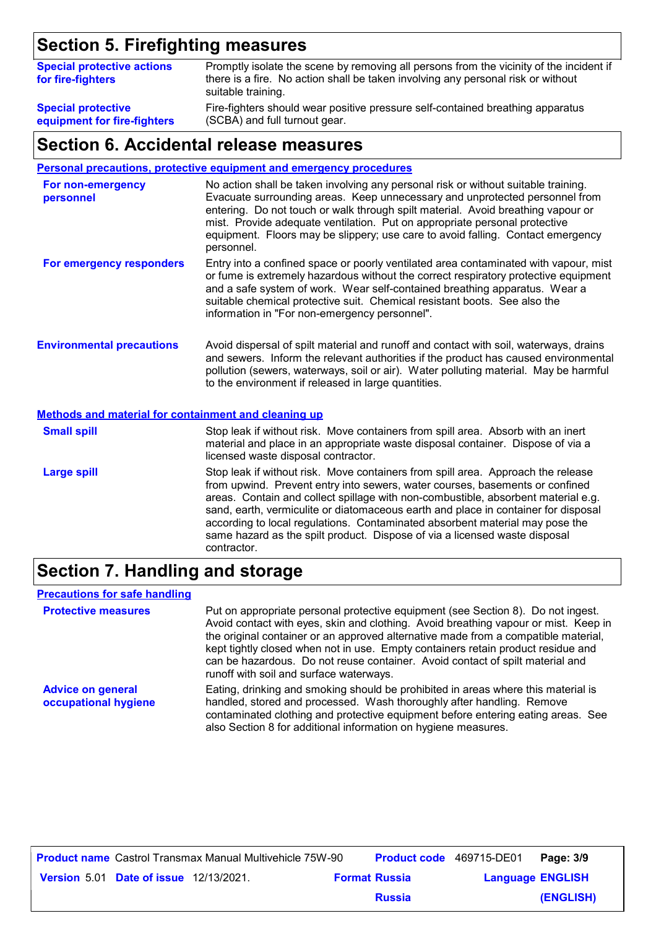# **Section 5. Firefighting measures**

| <b>Special protective actions</b><br>for fire-fighters | Promptly isolate the scene by removing all persons from the vicinity of the incident if<br>there is a fire. No action shall be taken involving any personal risk or without<br>suitable training. |
|--------------------------------------------------------|---------------------------------------------------------------------------------------------------------------------------------------------------------------------------------------------------|
| <b>Special protective</b>                              | Fire-fighters should wear positive pressure self-contained breathing apparatus                                                                                                                    |
| equipment for fire-fighters                            | (SCBA) and full turnout gear.                                                                                                                                                                     |

#### **Section 6. Accidental release measures**

**Personal precautions, protective equipment and emergency procedures**

| For non-emergency<br>personnel                              | No action shall be taken involving any personal risk or without suitable training.<br>Evacuate surrounding areas. Keep unnecessary and unprotected personnel from<br>entering. Do not touch or walk through spilt material. Avoid breathing vapour or<br>mist. Provide adequate ventilation. Put on appropriate personal protective<br>equipment. Floors may be slippery; use care to avoid falling. Contact emergency<br>personnel. |  |  |
|-------------------------------------------------------------|--------------------------------------------------------------------------------------------------------------------------------------------------------------------------------------------------------------------------------------------------------------------------------------------------------------------------------------------------------------------------------------------------------------------------------------|--|--|
| For emergency responders                                    | Entry into a confined space or poorly ventilated area contaminated with vapour, mist<br>or fume is extremely hazardous without the correct respiratory protective equipment<br>and a safe system of work. Wear self-contained breathing apparatus. Wear a<br>suitable chemical protective suit. Chemical resistant boots. See also the<br>information in "For non-emergency personnel".                                              |  |  |
| <b>Environmental precautions</b>                            | Avoid dispersal of spilt material and runoff and contact with soil, waterways, drains<br>and sewers. Inform the relevant authorities if the product has caused environmental<br>pollution (sewers, waterways, soil or air). Water polluting material. May be harmful<br>to the environment if released in large quantities.                                                                                                          |  |  |
| <b>Methods and material for containment and cleaning up</b> |                                                                                                                                                                                                                                                                                                                                                                                                                                      |  |  |
| <b>Small spill</b>                                          | Stop leak if without risk. Move containers from spill area. Absorb with an inert<br>material and place in an appropriate waste disposal container. Dispose of via a<br>licensed waste disposal contractor.                                                                                                                                                                                                                           |  |  |
| <b>Large spill</b>                                          | Stop leak if without risk. Move containers from spill area. Approach the release<br>from upwind. Prevent entry into sewers, water courses, basements or confined<br>areas. Contain and collect spillage with non-combustible, absorbent material e.g.<br>sand, earth, vermiculite or diatomaceous earth and place in container for disposal<br>according to local regulations. Contaminated absorbent material may pose the          |  |  |

### **Section 7. Handling and storage**

contractor.

#### **Precautions for safe handling**

**Protective measures** Put on appropriate personal protective equipment (see Section 8). Do not ingest. Avoid contact with eyes, skin and clothing. Avoid breathing vapour or mist. Keep in the original container or an approved alternative made from a compatible material, kept tightly closed when not in use. Empty containers retain product residue and can be hazardous. Do not reuse container. Avoid contact of spilt material and runoff with soil and surface waterways. **Advice on general occupational hygiene** Eating, drinking and smoking should be prohibited in areas where this material is handled, stored and processed. Wash thoroughly after handling. Remove contaminated clothing and protective equipment before entering eating areas. See also Section 8 for additional information on hygiene measures.

same hazard as the spilt product. Dispose of via a licensed waste disposal

|                                               | <b>Product name</b> Castrol Transmax Manual Multivehicle 75W-90 |                      |               | <b>Product code</b> 469715-DE01 | Page: 3/9 |
|-----------------------------------------------|-----------------------------------------------------------------|----------------------|---------------|---------------------------------|-----------|
| <b>Version 5.01 Date of issue 12/13/2021.</b> |                                                                 | <b>Format Russia</b> |               | <b>Language ENGLISH</b>         |           |
|                                               |                                                                 |                      | <b>Russia</b> |                                 | (ENGLISH) |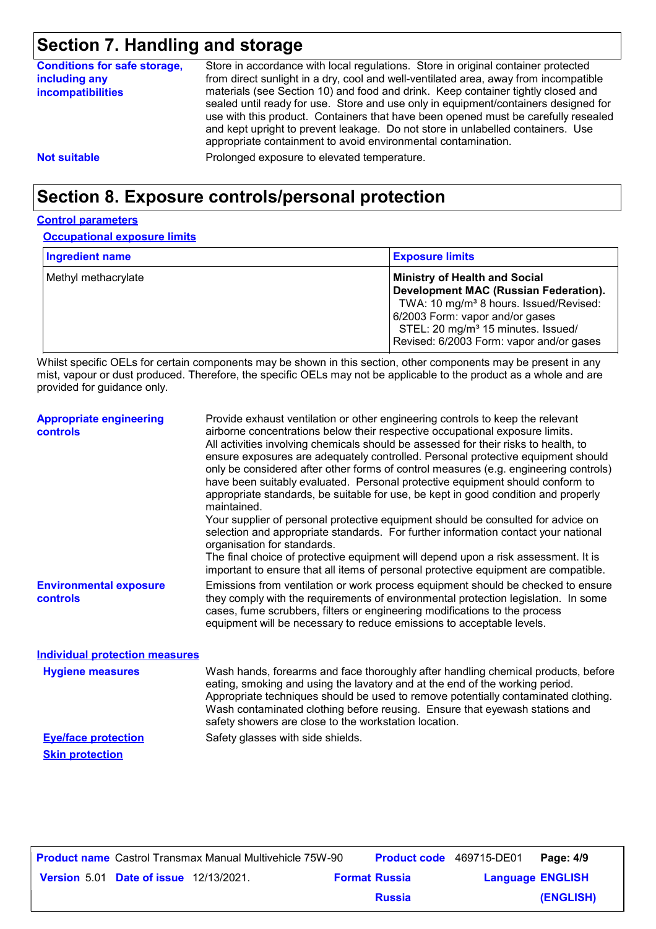# **Section 7. Handling and storage**

| <b>Conditions for safe storage,</b><br>including any<br><i>incompatibilities</i> | Store in accordance with local regulations. Store in original container protected<br>from direct sunlight in a dry, cool and well-ventilated area, away from incompatible<br>materials (see Section 10) and food and drink. Keep container tightly closed and<br>sealed until ready for use. Store and use only in equipment/containers designed for<br>use with this product. Containers that have been opened must be carefully resealed<br>and kept upright to prevent leakage. Do not store in unlabelled containers. Use<br>appropriate containment to avoid environmental contamination. |
|----------------------------------------------------------------------------------|------------------------------------------------------------------------------------------------------------------------------------------------------------------------------------------------------------------------------------------------------------------------------------------------------------------------------------------------------------------------------------------------------------------------------------------------------------------------------------------------------------------------------------------------------------------------------------------------|
| <b>Not suitable</b>                                                              | Prolonged exposure to elevated temperature.                                                                                                                                                                                                                                                                                                                                                                                                                                                                                                                                                    |

# **Section 8. Exposure controls/personal protection**

#### **Control parameters**

**Occupational exposure limits**

| <b>Ingredient name</b> | <b>Exposure limits</b>                                                                                                                                                                                                                                                      |
|------------------------|-----------------------------------------------------------------------------------------------------------------------------------------------------------------------------------------------------------------------------------------------------------------------------|
| Methyl methacrylate    | <b>Ministry of Health and Social</b><br><b>Development MAC (Russian Federation).</b><br>TWA: 10 mg/m <sup>3</sup> 8 hours. Issued/Revised:<br>6/2003 Form: vapor and/or gases<br>STEL: 20 mg/m <sup>3</sup> 15 minutes. Issued/<br>Revised: 6/2003 Form: vapor and/or gases |

Whilst specific OELs for certain components may be shown in this section, other components may be present in any mist, vapour or dust produced. Therefore, the specific OELs may not be applicable to the product as a whole and are provided for guidance only.

| <b>Appropriate engineering</b><br><b>controls</b> | Provide exhaust ventilation or other engineering controls to keep the relevant<br>airborne concentrations below their respective occupational exposure limits.<br>All activities involving chemicals should be assessed for their risks to health, to<br>ensure exposures are adequately controlled. Personal protective equipment should<br>only be considered after other forms of control measures (e.g. engineering controls)<br>have been suitably evaluated. Personal protective equipment should conform to<br>appropriate standards, be suitable for use, be kept in good condition and properly<br>maintained.<br>Your supplier of personal protective equipment should be consulted for advice on<br>selection and appropriate standards. For further information contact your national<br>organisation for standards.<br>The final choice of protective equipment will depend upon a risk assessment. It is<br>important to ensure that all items of personal protective equipment are compatible. |
|---------------------------------------------------|---------------------------------------------------------------------------------------------------------------------------------------------------------------------------------------------------------------------------------------------------------------------------------------------------------------------------------------------------------------------------------------------------------------------------------------------------------------------------------------------------------------------------------------------------------------------------------------------------------------------------------------------------------------------------------------------------------------------------------------------------------------------------------------------------------------------------------------------------------------------------------------------------------------------------------------------------------------------------------------------------------------|
| <b>Environmental exposure</b><br><b>controls</b>  | Emissions from ventilation or work process equipment should be checked to ensure<br>they comply with the requirements of environmental protection legislation. In some<br>cases, fume scrubbers, filters or engineering modifications to the process<br>equipment will be necessary to reduce emissions to acceptable levels.                                                                                                                                                                                                                                                                                                                                                                                                                                                                                                                                                                                                                                                                                 |
| <b>Individual protection measures</b>             |                                                                                                                                                                                                                                                                                                                                                                                                                                                                                                                                                                                                                                                                                                                                                                                                                                                                                                                                                                                                               |
| <b>Hygiene measures</b>                           | Wash hands, forearms and face thoroughly after handling chemical products, before<br>eating, smoking and using the lavatory and at the end of the working period.<br>Appropriate techniques should be used to remove potentially contaminated clothing.<br>Wash contaminated clothing before reusing. Ensure that eyewash stations and<br>safety showers are close to the workstation location.                                                                                                                                                                                                                                                                                                                                                                                                                                                                                                                                                                                                               |

**Eye/face protection** Safety glasses with side shields. **Skin protection**

**Date of issue** 12/13/2021. **Version** 5.01 **Format Russia Language Product name** Castrol Transmax Manual Multivehicle 75W-90 **Product code** 469715-DE01 **Page: 4/9** | **Language ENGLISH (ENGLISH)** Product code 469715-DE01 Page: 4/9 **Russia**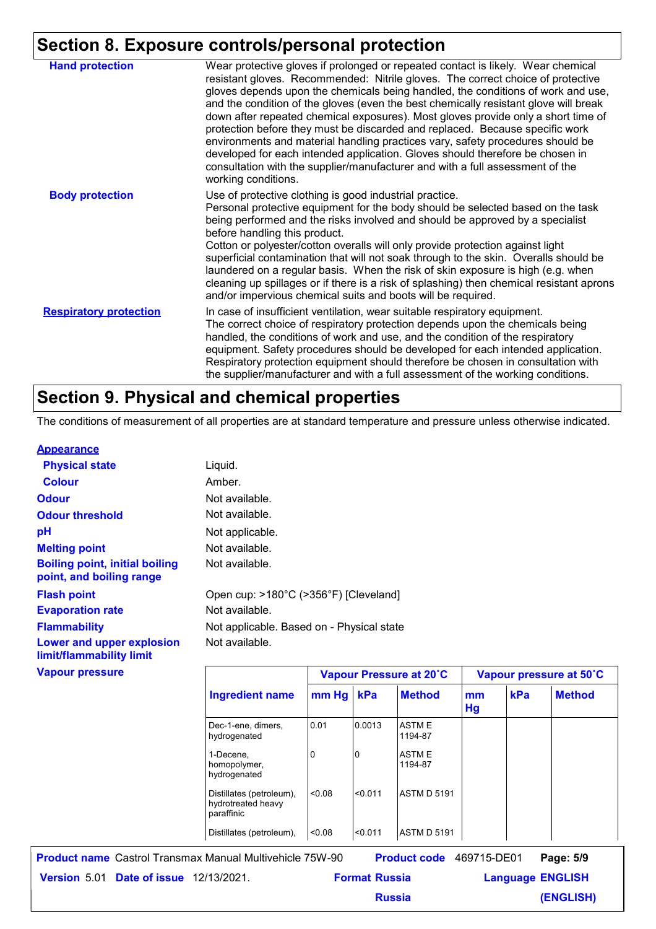### **Section 8. Exposure controls/personal protection**

|                               | -------- <u>--------</u>                                                                                                                                                                                                                                                                                                                                                                                                                                                                                                                                                                                                                                                                                                                                                                        |
|-------------------------------|-------------------------------------------------------------------------------------------------------------------------------------------------------------------------------------------------------------------------------------------------------------------------------------------------------------------------------------------------------------------------------------------------------------------------------------------------------------------------------------------------------------------------------------------------------------------------------------------------------------------------------------------------------------------------------------------------------------------------------------------------------------------------------------------------|
| <b>Hand protection</b>        | Wear protective gloves if prolonged or repeated contact is likely. Wear chemical<br>resistant gloves. Recommended: Nitrile gloves. The correct choice of protective<br>gloves depends upon the chemicals being handled, the conditions of work and use,<br>and the condition of the gloves (even the best chemically resistant glove will break<br>down after repeated chemical exposures). Most gloves provide only a short time of<br>protection before they must be discarded and replaced. Because specific work<br>environments and material handling practices vary, safety procedures should be<br>developed for each intended application. Gloves should therefore be chosen in<br>consultation with the supplier/manufacturer and with a full assessment of the<br>working conditions. |
| <b>Body protection</b>        | Use of protective clothing is good industrial practice.<br>Personal protective equipment for the body should be selected based on the task<br>being performed and the risks involved and should be approved by a specialist<br>before handling this product.<br>Cotton or polyester/cotton overalls will only provide protection against light<br>superficial contamination that will not soak through to the skin. Overalls should be<br>laundered on a regular basis. When the risk of skin exposure is high (e.g. when<br>cleaning up spillages or if there is a risk of splashing) then chemical resistant aprons<br>and/or impervious chemical suits and boots will be required.                                                                                                           |
| <b>Respiratory protection</b> | In case of insufficient ventilation, wear suitable respiratory equipment.<br>The correct choice of respiratory protection depends upon the chemicals being<br>handled, the conditions of work and use, and the condition of the respiratory<br>equipment. Safety procedures should be developed for each intended application.<br>Respiratory protection equipment should therefore be chosen in consultation with<br>the supplier/manufacturer and with a full assessment of the working conditions.                                                                                                                                                                                                                                                                                           |

## **Section 9. Physical and chemical properties**

The conditions of measurement of all properties are at standard temperature and pressure unless otherwise indicated.

#### **Appearance**

| <b>Physical state</b>                                             | Liquid.                                   |       |        |                         |              |  |
|-------------------------------------------------------------------|-------------------------------------------|-------|--------|-------------------------|--------------|--|
| <b>Colour</b>                                                     | Amber.                                    |       |        |                         |              |  |
| <b>Odour</b>                                                      | Not available.                            |       |        |                         |              |  |
| <b>Odour threshold</b>                                            | Not available.                            |       |        |                         |              |  |
| рH                                                                | Not applicable.                           |       |        |                         |              |  |
| <b>Melting point</b>                                              | Not available.                            |       |        |                         |              |  |
| <b>Boiling point, initial boiling</b><br>point, and boiling range | Not available.                            |       |        |                         |              |  |
| <b>Flash point</b>                                                | Open cup: >180°C (>356°F) [Cleveland]     |       |        |                         |              |  |
| <b>Evaporation rate</b>                                           | Not available.                            |       |        |                         |              |  |
| <b>Flammability</b>                                               | Not applicable. Based on - Physical state |       |        |                         |              |  |
| Lower and upper explosion<br>limit/flammability limit             | Not available.                            |       |        |                         |              |  |
| <b>Vapour pressure</b>                                            |                                           |       |        | Vapour Pressure at 20°C | <b>Vapou</b> |  |
|                                                                   | <b>Ingredient name</b>                    | mm Hg | kPa    | <b>Method</b>           | mm<br>Hg     |  |
|                                                                   | Dec-1-ene, dimers,<br>hydrogenated        | 0.01  | 0.0013 | <b>ASTME</b><br>1194-87 |              |  |

1-Decene, homopolymer, hydrogenated

Distillates (petroleum), <0.08

hydrotreated heavy paraffinic Distillates (petroleum),  $\vert$ <0.08  $\vert$ <0.011  $\vert$ ASTM D 5191 **Date of issue** 12/13/2021. **Version** 5.01 **Format Russia Language Product name** Castrol Transmax Manual Multivehicle 75W-90 **Product code** 469715-DE01 **Page: 5/9** | **Language ENGLISH** Product code 469715-DE01 Page: 5/9

| <b>Russia</b> |  |
|---------------|--|

0 **ASTME** 

1194-87

<0.08 <0.011 ASTM D 5191

**Vapour Pressure at 20˚C Vapour pressure at 50˚C**

**kPa Method**

**(ENGLISH)**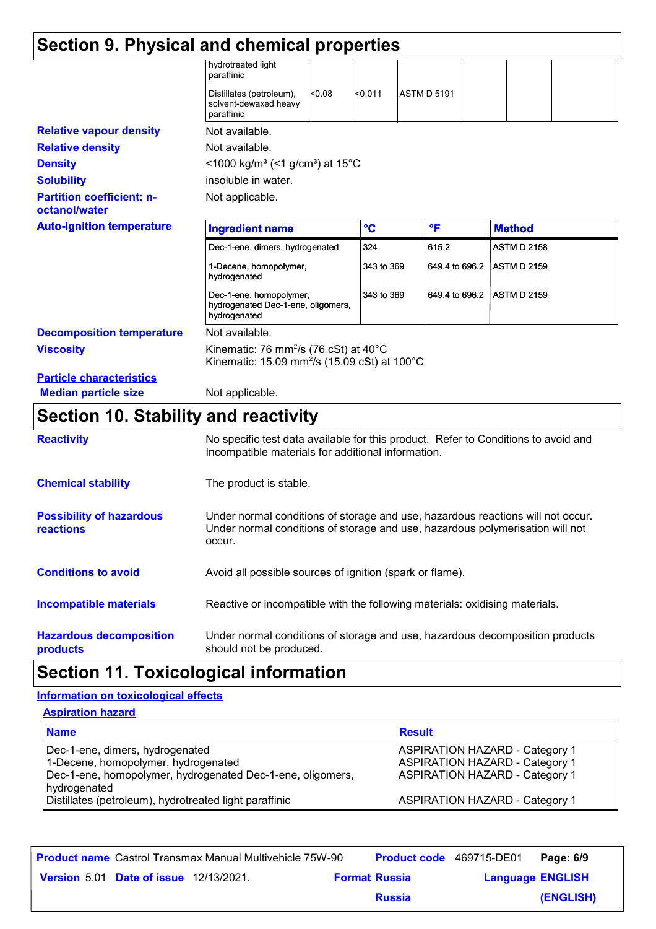| Section 9. Physical and chemical properties       |                                                                                                                                     |              |                    |                |                    |  |
|---------------------------------------------------|-------------------------------------------------------------------------------------------------------------------------------------|--------------|--------------------|----------------|--------------------|--|
|                                                   | hydrotreated light<br>paraffinic                                                                                                    |              |                    |                |                    |  |
|                                                   | < 0.08<br>Distillates (petroleum),<br>solvent-dewaxed heavy<br>paraffinic                                                           | < 0.011      | <b>ASTM D 5191</b> |                |                    |  |
| <b>Relative vapour density</b>                    | Not available.                                                                                                                      |              |                    |                |                    |  |
| <b>Relative density</b>                           | Not available.                                                                                                                      |              |                    |                |                    |  |
| <b>Density</b>                                    | <1000 kg/m <sup>3</sup> (<1 g/cm <sup>3</sup> ) at 15°C                                                                             |              |                    |                |                    |  |
| <b>Solubility</b>                                 | insoluble in water.                                                                                                                 |              |                    |                |                    |  |
| <b>Partition coefficient: n-</b><br>octanol/water | Not applicable.                                                                                                                     |              |                    |                |                    |  |
| <b>Auto-ignition temperature</b>                  | <b>Ingredient name</b>                                                                                                              | $\mathbf{C}$ | °F                 |                | <b>Method</b>      |  |
|                                                   | Dec-1-ene, dimers, hydrogenated                                                                                                     | 324          |                    | 615.2          | <b>ASTM D 2158</b> |  |
|                                                   | 1-Decene, homopolymer,<br>hydrogenated                                                                                              | 343 to 369   |                    | 649.4 to 696.2 | <b>ASTM D 2159</b> |  |
|                                                   | Dec-1-ene, homopolymer,<br>hydrogenated Dec-1-ene, oligomers,<br>hydrogenated                                                       | 343 to 369   |                    | 649.4 to 696.2 | <b>ASTM D 2159</b> |  |
| <b>Decomposition temperature</b>                  | Not available.                                                                                                                      |              |                    |                |                    |  |
| <b>Viscosity</b>                                  | Kinematic: 76 mm <sup>2</sup> /s (76 cSt) at 40 $^{\circ}$ C<br>Kinematic: 15.09 mm <sup>2</sup> /s (15.09 cSt) at 100 $^{\circ}$ C |              |                    |                |                    |  |
| <b>Particle characteristics</b>                   |                                                                                                                                     |              |                    |                |                    |  |
| <b>Median particle size</b>                       | Not applicable.                                                                                                                     |              |                    |                |                    |  |

# **Section 10. Stability and reactivity**

| <b>Reactivity</b>                            | No specific test data available for this product. Refer to Conditions to avoid and<br>Incompatible materials for additional information.                                   |
|----------------------------------------------|----------------------------------------------------------------------------------------------------------------------------------------------------------------------------|
| <b>Chemical stability</b>                    | The product is stable.                                                                                                                                                     |
| <b>Possibility of hazardous</b><br>reactions | Under normal conditions of storage and use, hazardous reactions will not occur.<br>Under normal conditions of storage and use, hazardous polymerisation will not<br>occur. |
| <b>Conditions to avoid</b>                   | Avoid all possible sources of ignition (spark or flame).                                                                                                                   |
| <b>Incompatible materials</b>                | Reactive or incompatible with the following materials: oxidising materials.                                                                                                |
| <b>Hazardous decomposition</b><br>products   | Under normal conditions of storage and use, hazardous decomposition products<br>should not be produced.                                                                    |

# **Section 11. Toxicological information**

#### **Aspiration hazard Information on toxicological effects**

| <b>ASPITATION NAZATU</b>                                                                                                                             |                                                                                                                         |
|------------------------------------------------------------------------------------------------------------------------------------------------------|-------------------------------------------------------------------------------------------------------------------------|
| <b>Name</b>                                                                                                                                          | <b>Result</b>                                                                                                           |
| Dec-1-ene, dimers, hydrogenated<br>1-Decene, homopolymer, hydrogenated<br>Dec-1-ene, homopolymer, hydrogenated Dec-1-ene, oligomers,<br>hydrogenated | <b>ASPIRATION HAZARD - Category 1</b><br><b>ASPIRATION HAZARD - Category 1</b><br><b>ASPIRATION HAZARD - Category 1</b> |
| Distillates (petroleum), hydrotreated light paraffinic                                                                                               | <b>ASPIRATION HAZARD - Category 1</b>                                                                                   |

|                                               | <b>Product name</b> Castrol Transmax Manual Multivehicle 75W-90 |                      | <b>Product code</b> 469715-DE01 |                         | Page: 6/9 |
|-----------------------------------------------|-----------------------------------------------------------------|----------------------|---------------------------------|-------------------------|-----------|
| <b>Version 5.01 Date of issue 12/13/2021.</b> |                                                                 | <b>Format Russia</b> |                                 | <b>Language ENGLISH</b> |           |
|                                               |                                                                 |                      | <b>Russia</b>                   |                         | (ENGLISH) |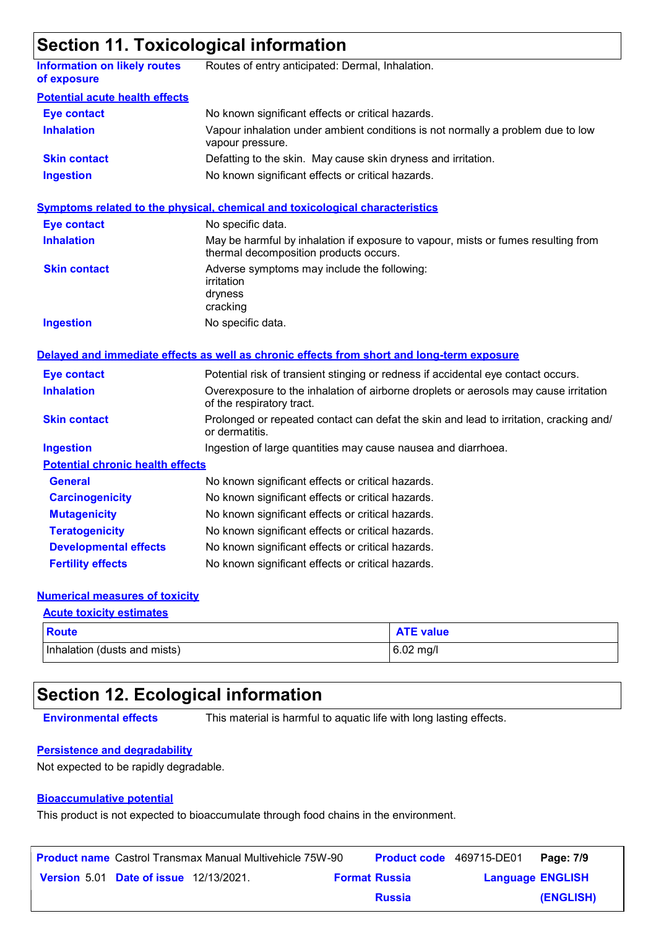# **Section 11. Toxicological information**

| Routes of entry anticipated: Dermal, Inhalation.                                                                            |
|-----------------------------------------------------------------------------------------------------------------------------|
|                                                                                                                             |
| No known significant effects or critical hazards.                                                                           |
| Vapour inhalation under ambient conditions is not normally a problem due to low<br>vapour pressure.                         |
| Defatting to the skin. May cause skin dryness and irritation.                                                               |
| No known significant effects or critical hazards.                                                                           |
| <b>Symptoms related to the physical, chemical and toxicological characteristics</b>                                         |
| No specific data.                                                                                                           |
| May be harmful by inhalation if exposure to vapour, mists or fumes resulting from<br>thermal decomposition products occurs. |
| Adverse symptoms may include the following:<br>irritation<br>dryness<br>cracking                                            |
| No specific data.                                                                                                           |
| Delayed and immediate effects as well as chronic effects from short and long-term exposure                                  |
| Potential risk of transient stinging or redness if accidental eye contact occurs.                                           |
| Overexposure to the inhalation of airborne droplets or aerosols may cause irritation<br>of the respiratory tract.           |
| Prolonged or repeated contact can defat the skin and lead to irritation, cracking and/<br>or dermatitis.                    |
| Ingestion of large quantities may cause nausea and diarrhoea.                                                               |
| <b>Potential chronic health effects</b>                                                                                     |
| No known significant effects or critical hazards.                                                                           |
| No known significant effects or critical hazards.                                                                           |
| No known significant effects or critical hazards.                                                                           |
| No known significant effects or critical hazards.                                                                           |
| No known significant effects or critical hazards.                                                                           |
| No known significant effects or critical hazards.                                                                           |
|                                                                                                                             |

#### **Numerical measures of toxicity**

| <b>Acute toxicity estimates</b> |                  |
|---------------------------------|------------------|
| <b>Route</b>                    | <b>ATE value</b> |
| Inhalation (dusts and mists)    | $6.02$ mg/l      |

# **Section 12. Ecological information**

**Environmental effects** This material is harmful to aquatic life with long lasting effects.

#### **Persistence and degradability**

Not expected to be rapidly degradable.

#### **Bioaccumulative potential**

This product is not expected to bioaccumulate through food chains in the environment.

|                                               | <b>Product name</b> Castrol Transmax Manual Multivehicle 75W-90 |                      | <b>Product code</b> 469715-DE01 |                         | Page: 7/9 |
|-----------------------------------------------|-----------------------------------------------------------------|----------------------|---------------------------------|-------------------------|-----------|
| <b>Version 5.01 Date of issue 12/13/2021.</b> |                                                                 | <b>Format Russia</b> |                                 | <b>Language ENGLISH</b> |           |
|                                               |                                                                 |                      | <b>Russia</b>                   |                         | (ENGLISH) |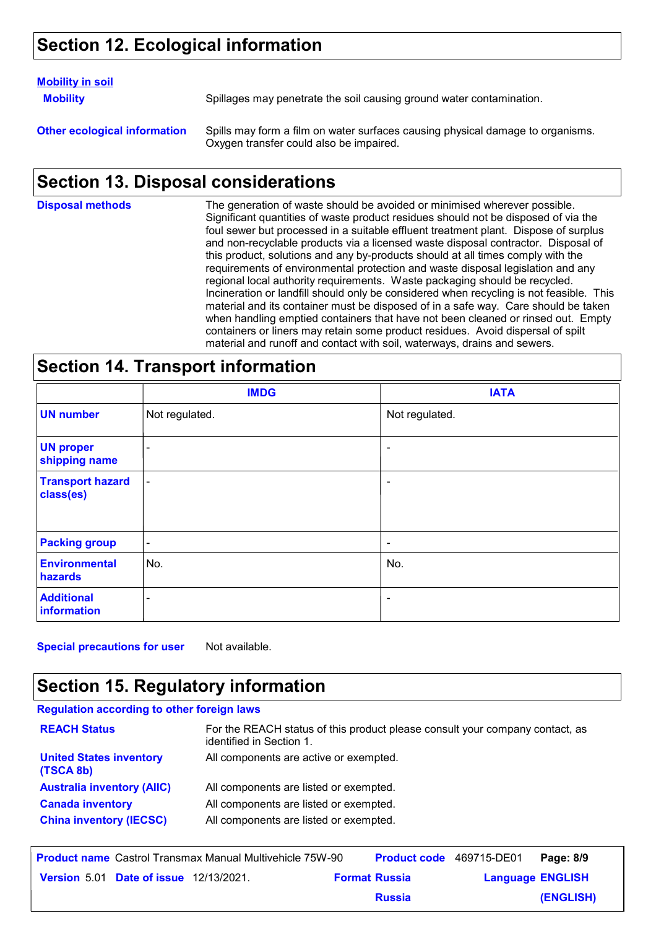# **Section 12. Ecological information**

#### **Mobility in soil**

**Mobility** Spillages may penetrate the soil causing ground water contamination.

**Other ecological information** Spills may form a film on water surfaces causing physical damage to organisms. Oxygen transfer could also be impaired.

# **Section 13. Disposal considerations**

The generation of waste should be avoided or minimised wherever possible. Significant quantities of waste product residues should not be disposed of via the foul sewer but processed in a suitable effluent treatment plant. Dispose of surplus and non-recyclable products via a licensed waste disposal contractor. Disposal of this product, solutions and any by-products should at all times comply with the requirements of environmental protection and waste disposal legislation and any regional local authority requirements. Waste packaging should be recycled. Incineration or landfill should only be considered when recycling is not feasible. This material and its container must be disposed of in a safe way. Care should be taken when handling emptied containers that have not been cleaned or rinsed out. Empty containers or liners may retain some product residues. Avoid dispersal of spilt material and runoff and contact with soil, waterways, drains and sewers. **Disposal methods**

### **Section 14. Transport information**

|                                      | <b>IMDG</b>    | <b>IATA</b>    |
|--------------------------------------|----------------|----------------|
| <b>UN number</b>                     | Not regulated. | Not regulated. |
| <b>UN proper</b><br>shipping name    | ۰              | $\blacksquare$ |
| <b>Transport hazard</b><br>class(es) | $\blacksquare$ | ٠              |
| <b>Packing group</b>                 | $\blacksquare$ | $\blacksquare$ |
| <b>Environmental</b><br>hazards      | No.            | No.            |
| <b>Additional</b><br>information     | ۰              | $\blacksquare$ |

**Special precautions for user** Not available.

# **Section 15. Regulatory information**

| <b>Regulation according to other foreign laws</b> |                                                                                                          |
|---------------------------------------------------|----------------------------------------------------------------------------------------------------------|
| <b>REACH Status</b>                               | For the REACH status of this product please consult your company contact, as<br>identified in Section 1. |
| <b>United States inventory</b><br>(TSCA 8b)       | All components are active or exempted.                                                                   |
| <b>Australia inventory (AIIC)</b>                 | All components are listed or exempted.                                                                   |
| <b>Canada inventory</b>                           | All components are listed or exempted.                                                                   |
| <b>China inventory (IECSC)</b>                    | All components are listed or exempted.                                                                   |

|                                               | <b>Product name</b> Castrol Transmax Manual Multivehicle 75W-90 | <b>Product code</b> 469715-DE01 |                         | Page: 8/9 |
|-----------------------------------------------|-----------------------------------------------------------------|---------------------------------|-------------------------|-----------|
| <b>Version 5.01 Date of issue 12/13/2021.</b> |                                                                 | <b>Format Russia</b>            | <b>Language ENGLISH</b> |           |
|                                               |                                                                 | <b>Russia</b>                   |                         | (ENGLISH) |